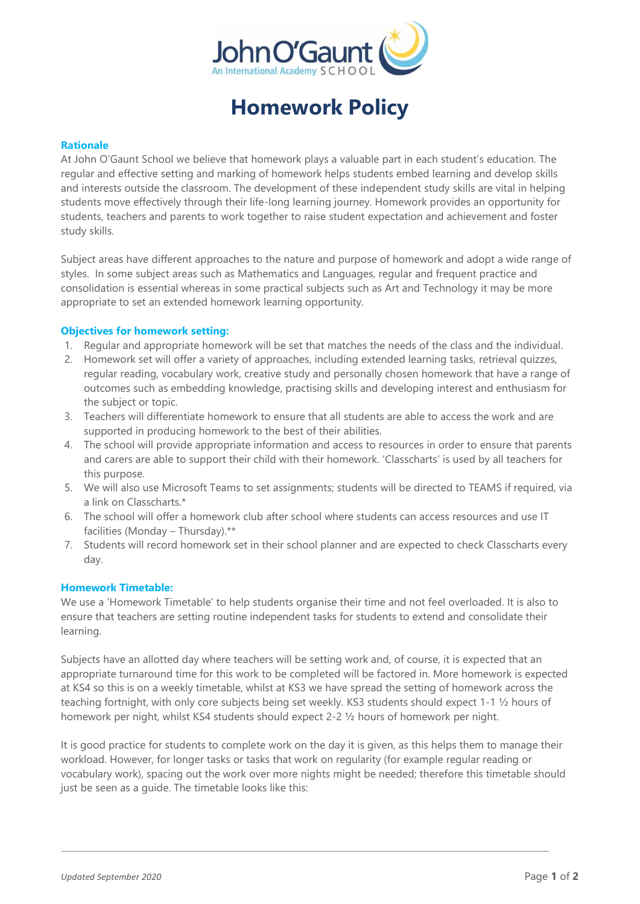

# **Homework Policy**

### **Rationale**

At John O'Gaunt School we believe that homework plays a valuable part in each student's education. The regular and effective setting and marking of homework helps students embed learning and develop skills and interests outside the classroom. The development of these independent study skills are vital in helping students move effectively through their life-long learning journey. Homework provides an opportunity for students, teachers and parents to work together to raise student expectation and achievement and foster study skills.

Subject areas have different approaches to the nature and purpose of homework and adopt a wide range of styles. In some subject areas such as Mathematics and Languages, regular and frequent practice and consolidation is essential whereas in some practical subjects such as Art and Technology it may be more appropriate to set an extended homework learning opportunity.

## **Objectives for homework setting:**

- 1. Regular and appropriate homework will be set that matches the needs of the class and the individual.
- 2. Homework set will offer a variety of approaches, including extended learning tasks, retrieval quizzes, regular reading, vocabulary work, creative study and personally chosen homework that have a range of outcomes such as embedding knowledge, practising skills and developing interest and enthusiasm for the subject or topic.
- 3. Teachers will differentiate homework to ensure that all students are able to access the work and are supported in producing homework to the best of their abilities.
- 4. The school will provide appropriate information and access to resources in order to ensure that parents and carers are able to support their child with their homework. 'Classcharts' is used by all teachers for this purpose.
- 5. We will also use Microsoft Teams to set assignments; students will be directed to TEAMS if required, via a link on Classcharts.\*
- 6. The school will offer a homework club after school where students can access resources and use IT facilities (Monday – Thursday).\*\*
- 7. Students will record homework set in their school planner and are expected to check Classcharts every day.

## **Homework Timetable:**

We use a 'Homework Timetable' to help students organise their time and not feel overloaded. It is also to ensure that teachers are setting routine independent tasks for students to extend and consolidate their learning.

Subjects have an allotted day where teachers will be setting work and, of course, it is expected that an appropriate turnaround time for this work to be completed will be factored in. More homework is expected at KS4 so this is on a weekly timetable, whilst at KS3 we have spread the setting of homework across the teaching fortnight, with only core subjects being set weekly. KS3 students should expect 1-1 ½ hours of homework per night, whilst KS4 students should expect 2-2 ½ hours of homework per night.

It is good practice for students to complete work on the day it is given, as this helps them to manage their workload. However, for longer tasks or tasks that work on regularity (for example regular reading or vocabulary work), spacing out the work over more nights might be needed; therefore this timetable should just be seen as a guide. The timetable looks like this: